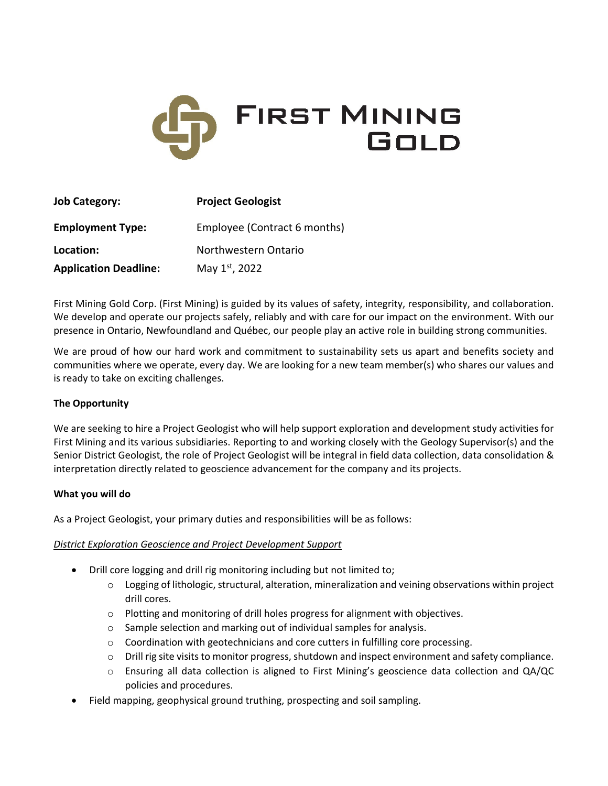

| <b>Job Category:</b>         | <b>Project Geologist</b>     |
|------------------------------|------------------------------|
| <b>Employment Type:</b>      | Employee (Contract 6 months) |
| Location:                    | Northwestern Ontario         |
| <b>Application Deadline:</b> | May 1st, 2022                |

First Mining Gold Corp. (First Mining) is guided by its values of safety, integrity, responsibility, and collaboration. We develop and operate our projects safely, reliably and with care for our impact on the environment. With our presence in Ontario, Newfoundland and Québec, our people play an active role in building strong communities.

We are proud of how our hard work and commitment to sustainability sets us apart and benefits society and communities where we operate, every day. We are looking for a new team member(s) who shares our values and is ready to take on exciting challenges.

# **The Opportunity**

We are seeking to hire a Project Geologist who will help support exploration and development study activities for First Mining and its various subsidiaries. Reporting to and working closely with the Geology Supervisor(s) and the Senior District Geologist, the role of Project Geologist will be integral in field data collection, data consolidation & interpretation directly related to geoscience advancement for the company and its projects.

### **What you will do**

As a Project Geologist, your primary duties and responsibilities will be as follows:

### *District Exploration Geoscience and Project Development Support*

- Drill core logging and drill rig monitoring including but not limited to;
	- o Logging of lithologic, structural, alteration, mineralization and veining observations within project drill cores.
	- o Plotting and monitoring of drill holes progress for alignment with objectives.
	- o Sample selection and marking out of individual samples for analysis.
	- o Coordination with geotechnicians and core cutters in fulfilling core processing.
	- $\circ$  Drill rig site visits to monitor progress, shutdown and inspect environment and safety compliance.
	- o Ensuring all data collection is aligned to First Mining's geoscience data collection and QA/QC policies and procedures.
- Field mapping, geophysical ground truthing, prospecting and soil sampling.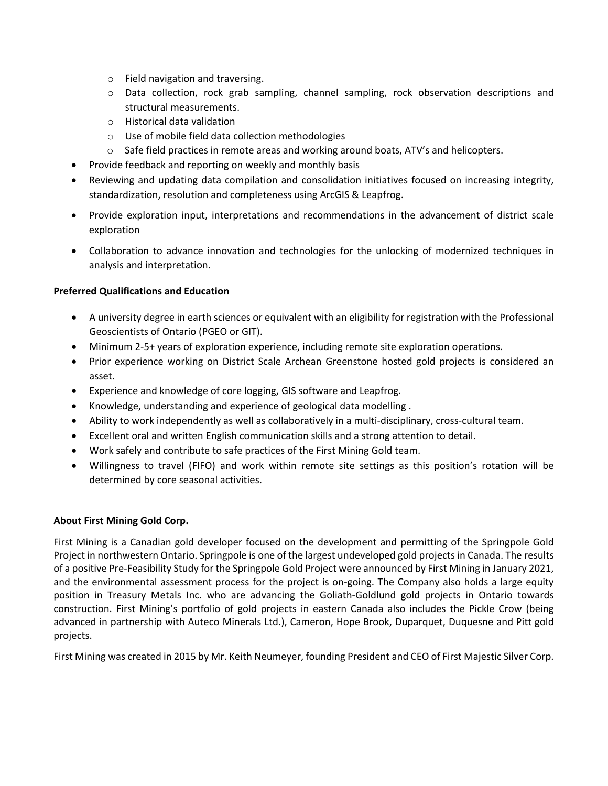- o Field navigation and traversing.
- o Data collection, rock grab sampling, channel sampling, rock observation descriptions and structural measurements.
- o Historical data validation
- o Use of mobile field data collection methodologies
- o Safe field practices in remote areas and working around boats, ATV's and helicopters.
- Provide feedback and reporting on weekly and monthly basis
- Reviewing and updating data compilation and consolidation initiatives focused on increasing integrity, standardization, resolution and completeness using ArcGIS & Leapfrog.
- Provide exploration input, interpretations and recommendations in the advancement of district scale exploration
- Collaboration to advance innovation and technologies for the unlocking of modernized techniques in analysis and interpretation.

## **Preferred Qualifications and Education**

- A university degree in earth sciences or equivalent with an eligibility for registration with the Professional Geoscientists of Ontario (PGEO or GIT).
- Minimum 2-5+ years of exploration experience, including remote site exploration operations.
- Prior experience working on District Scale Archean Greenstone hosted gold projects is considered an asset.
- Experience and knowledge of core logging, GIS software and Leapfrog.
- Knowledge, understanding and experience of geological data modelling .
- Ability to work independently as well as collaboratively in a multi-disciplinary, cross-cultural team.
- Excellent oral and written English communication skills and a strong attention to detail.
- Work safely and contribute to safe practices of the First Mining Gold team.
- Willingness to travel (FIFO) and work within remote site settings as this position's rotation will be determined by core seasonal activities.

### **About First Mining Gold Corp.**

First Mining is a Canadian gold developer focused on the development and permitting of the Springpole Gold Project in northwestern Ontario. Springpole is one of the largest undeveloped gold projects in Canada. The results of a positive Pre‐Feasibility Study for the Springpole Gold Project were announced by First Mining in January 2021, and the environmental assessment process for the project is on-going. The Company also holds a large equity position in Treasury Metals Inc. who are advancing the Goliath‐Goldlund gold projects in Ontario towards construction. First Mining's portfolio of gold projects in eastern Canada also includes the Pickle Crow (being advanced in partnership with Auteco Minerals Ltd.), Cameron, Hope Brook, Duparquet, Duquesne and Pitt gold projects.

First Mining was created in 2015 by Mr. Keith Neumeyer, founding President and CEO of First Majestic Silver Corp.